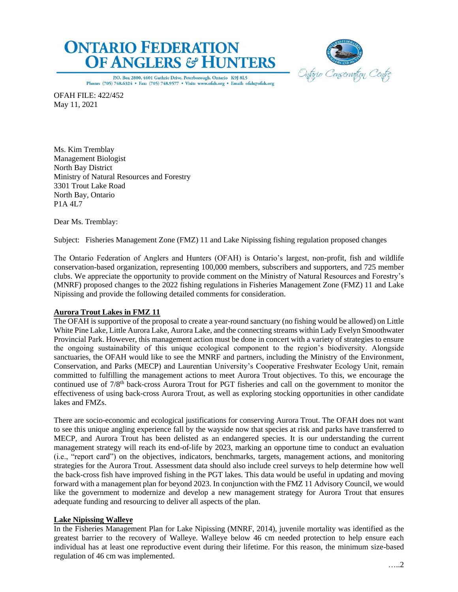



P.O. Box 2800, 4601 Guthrie Drive, Peterborough, Ontario K9J 8L5 Phone: (705) 748.6324 . Fax: (705) 748.9577 . Visit: www.ofah.org . Email: ofah@ofah.org

OFAH FILE: 422/452 May 11, 2021

Ms. Kim Tremblay Management Biologist North Bay District Ministry of Natural Resources and Forestry 3301 Trout Lake Road North Bay, Ontario P1A 4L7

Dear Ms. Tremblay:

Subject: Fisheries Management Zone (FMZ) 11 and Lake Nipissing fishing regulation proposed changes

The Ontario Federation of Anglers and Hunters (OFAH) is Ontario's largest, non-profit, fish and wildlife conservation-based organization, representing 100,000 members, subscribers and supporters, and 725 member clubs. We appreciate the opportunity to provide comment on the Ministry of Natural Resources and Forestry's (MNRF) proposed changes to the 2022 fishing regulations in Fisheries Management Zone (FMZ) 11 and Lake Nipissing and provide the following detailed comments for consideration.

# **Aurora Trout Lakes in FMZ 11**

The OFAH is supportive of the proposal to create a year-round sanctuary (no fishing would be allowed) on Little White Pine Lake, Little Aurora Lake, Aurora Lake, and the connecting streams within Lady Evelyn Smoothwater Provincial Park. However, this management action must be done in concert with a variety of strategies to ensure the ongoing sustainability of this unique ecological component to the region's biodiversity. Alongside sanctuaries, the OFAH would like to see the MNRF and partners, including the Ministry of the Environment, Conservation, and Parks (MECP) and Laurentian University's Cooperative Freshwater Ecology Unit, remain committed to fulfilling the management actions to meet Aurora Trout objectives. To this, we encourage the continued use of 7/8<sup>th</sup> back-cross Aurora Trout for PGT fisheries and call on the government to monitor the effectiveness of using back-cross Aurora Trout, as well as exploring stocking opportunities in other candidate lakes and FMZs.

There are socio-economic and ecological justifications for conserving Aurora Trout. The OFAH does not want to see this unique angling experience fall by the wayside now that species at risk and parks have transferred to MECP, and Aurora Trout has been delisted as an endangered species. It is our understanding the current management strategy will reach its end-of-life by 2023, marking an opportune time to conduct an evaluation (i.e., "report card") on the objectives, indicators, benchmarks, targets, management actions, and monitoring strategies for the Aurora Trout. Assessment data should also include creel surveys to help determine how well the back-cross fish have improved fishing in the PGT lakes. This data would be useful in updating and moving forward with a management plan for beyond 2023. In conjunction with the FMZ 11 Advisory Council, we would like the government to modernize and develop a new management strategy for Aurora Trout that ensures adequate funding and resourcing to deliver all aspects of the plan.

# **Lake Nipissing Walleye**

In the Fisheries Management Plan for Lake Nipissing (MNRF, 2014), juvenile mortality was identified as the greatest barrier to the recovery of Walleye. Walleye below 46 cm needed protection to help ensure each individual has at least one reproductive event during their lifetime. For this reason, the minimum size-based regulation of 46 cm was implemented.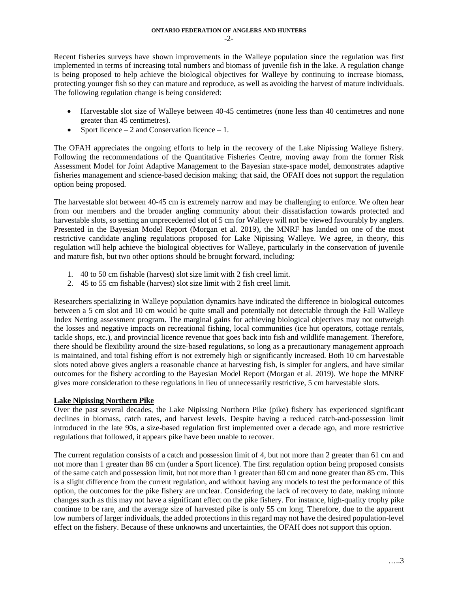Recent fisheries surveys have shown improvements in the Walleye population since the regulation was first implemented in terms of increasing total numbers and biomass of juvenile fish in the lake. A regulation change is being proposed to help achieve the biological objectives for Walleye by continuing to increase biomass, protecting younger fish so they can mature and reproduce, as well as avoiding the harvest of mature individuals. The following regulation change is being considered:

- Harvestable slot size of Walleye between 40-45 centimetres (none less than 40 centimetres and none greater than 45 centimetres).
- Sport licence  $-2$  and Conservation licence  $-1$ .

The OFAH appreciates the ongoing efforts to help in the recovery of the Lake Nipissing Walleye fishery. Following the recommendations of the Quantitative Fisheries Centre, moving away from the former Risk Assessment Model for Joint Adaptive Management to the Bayesian state-space model, demonstrates adaptive fisheries management and science-based decision making; that said, the OFAH does not support the regulation option being proposed.

The harvestable slot between 40-45 cm is extremely narrow and may be challenging to enforce. We often hear from our members and the broader angling community about their dissatisfaction towards protected and harvestable slots, so setting an unprecedented slot of 5 cm for Walleye will not be viewed favourably by anglers. Presented in the Bayesian Model Report (Morgan et al. 2019), the MNRF has landed on one of the most restrictive candidate angling regulations proposed for Lake Nipissing Walleye. We agree, in theory, this regulation will help achieve the biological objectives for Walleye, particularly in the conservation of juvenile and mature fish, but two other options should be brought forward, including:

- 1. 40 to 50 cm fishable (harvest) slot size limit with 2 fish creel limit.
- 2. 45 to 55 cm fishable (harvest) slot size limit with 2 fish creel limit.

Researchers specializing in Walleye population dynamics have indicated the difference in biological outcomes between a 5 cm slot and 10 cm would be quite small and potentially not detectable through the Fall Walleye Index Netting assessment program. The marginal gains for achieving biological objectives may not outweigh the losses and negative impacts on recreational fishing, local communities (ice hut operators, cottage rentals, tackle shops, etc.), and provincial licence revenue that goes back into fish and wildlife management. Therefore, there should be flexibility around the size-based regulations, so long as a precautionary management approach is maintained, and total fishing effort is not extremely high or significantly increased. Both 10 cm harvestable slots noted above gives anglers a reasonable chance at harvesting fish, is simpler for anglers, and have similar outcomes for the fishery according to the Bayesian Model Report (Morgan et al. 2019). We hope the MNRF gives more consideration to these regulations in lieu of unnecessarily restrictive, 5 cm harvestable slots.

# **Lake Nipissing Northern Pike**

Over the past several decades, the Lake Nipissing Northern Pike (pike) fishery has experienced significant declines in biomass, catch rates, and harvest levels. Despite having a reduced catch-and-possession limit introduced in the late 90s, a size-based regulation first implemented over a decade ago, and more restrictive regulations that followed, it appears pike have been unable to recover.

The current regulation consists of a catch and possession limit of 4, but not more than 2 greater than 61 cm and not more than 1 greater than 86 cm (under a Sport licence). The first regulation option being proposed consists of the same catch and possession limit, but not more than 1 greater than 60 cm and none greater than 85 cm. This is a slight difference from the current regulation, and without having any models to test the performance of this option, the outcomes for the pike fishery are unclear. Considering the lack of recovery to date, making minute changes such as this may not have a significant effect on the pike fishery. For instance, high-quality trophy pike continue to be rare, and the average size of harvested pike is only 55 cm long. Therefore, due to the apparent low numbers of larger individuals, the added protections in this regard may not have the desired population-level effect on the fishery. Because of these unknowns and uncertainties, the OFAH does not support this option.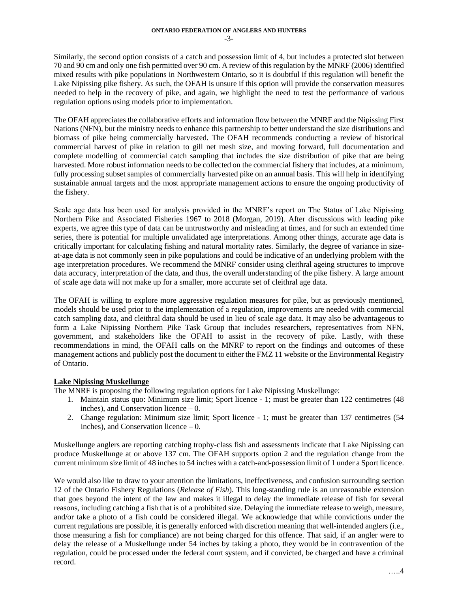Similarly, the second option consists of a catch and possession limit of 4, but includes a protected slot between 70 and 90 cm and only one fish permitted over 90 cm. A review of this regulation by the MNRF (2006) identified mixed results with pike populations in Northwestern Ontario, so it is doubtful if this regulation will benefit the Lake Nipissing pike fishery. As such, the OFAH is unsure if this option will provide the conservation measures needed to help in the recovery of pike, and again, we highlight the need to test the performance of various regulation options using models prior to implementation.

The OFAH appreciates the collaborative efforts and information flow between the MNRF and the Nipissing First Nations (NFN), but the ministry needs to enhance this partnership to better understand the size distributions and biomass of pike being commercially harvested. The OFAH recommends conducting a review of historical commercial harvest of pike in relation to gill net mesh size, and moving forward, full documentation and complete modelling of commercial catch sampling that includes the size distribution of pike that are being harvested. More robust information needs to be collected on the commercial fishery that includes, at a minimum, fully processing subset samples of commercially harvested pike on an annual basis. This will help in identifying sustainable annual targets and the most appropriate management actions to ensure the ongoing productivity of the fishery.

Scale age data has been used for analysis provided in the MNRF's report on The Status of Lake Nipissing Northern Pike and Associated Fisheries 1967 to 2018 (Morgan, 2019). After discussions with leading pike experts, we agree this type of data can be untrustworthy and misleading at times, and for such an extended time series, there is potential for multiple unvalidated age interpretations. Among other things, accurate age data is critically important for calculating fishing and natural mortality rates. Similarly, the degree of variance in sizeat-age data is not commonly seen in pike populations and could be indicative of an underlying problem with the age interpretation procedures. We recommend the MNRF consider using cleithral ageing structures to improve data accuracy, interpretation of the data, and thus, the overall understanding of the pike fishery. A large amount of scale age data will not make up for a smaller, more accurate set of cleithral age data.

The OFAH is willing to explore more aggressive regulation measures for pike, but as previously mentioned, models should be used prior to the implementation of a regulation, improvements are needed with commercial catch sampling data, and cleithral data should be used in lieu of scale age data. It may also be advantageous to form a Lake Nipissing Northern Pike Task Group that includes researchers, representatives from NFN, government, and stakeholders like the OFAH to assist in the recovery of pike. Lastly, with these recommendations in mind, the OFAH calls on the MNRF to report on the findings and outcomes of these management actions and publicly post the document to either the FMZ 11 website or the Environmental Registry of Ontario.

# **Lake Nipissing Muskellunge**

The MNRF is proposing the following regulation options for Lake Nipissing Muskellunge:

- 1. Maintain status quo: Minimum size limit; Sport licence 1; must be greater than 122 centimetres (48 inches), and Conservation licence – 0.
- 2. Change regulation: Minimum size limit; Sport licence 1; must be greater than 137 centimetres (54 inches), and Conservation licence – 0.

Muskellunge anglers are reporting catching trophy-class fish and assessments indicate that Lake Nipissing can produce Muskellunge at or above 137 cm. The OFAH supports option 2 and the regulation change from the current minimum size limit of 48 inches to 54 inches with a catch-and-possession limit of 1 under a Sport licence.

We would also like to draw to your attention the limitations, ineffectiveness, and confusion surrounding section 12 of the Ontario Fishery Regulations (*Release of Fish*). This long-standing rule is an unreasonable extension that goes beyond the intent of the law and makes it illegal to delay the immediate release of fish for several reasons, including catching a fish that is of a prohibited size. Delaying the immediate release to weigh, measure, and/or take a photo of a fish could be considered illegal. We acknowledge that while convictions under the current regulations are possible, it is generally enforced with discretion meaning that well-intended anglers (i.e., those measuring a fish for compliance) are not being charged for this offence. That said, if an angler were to delay the release of a Muskellunge under 54 inches by taking a photo, they would be in contravention of the regulation, could be processed under the federal court system, and if convicted, be charged and have a criminal record.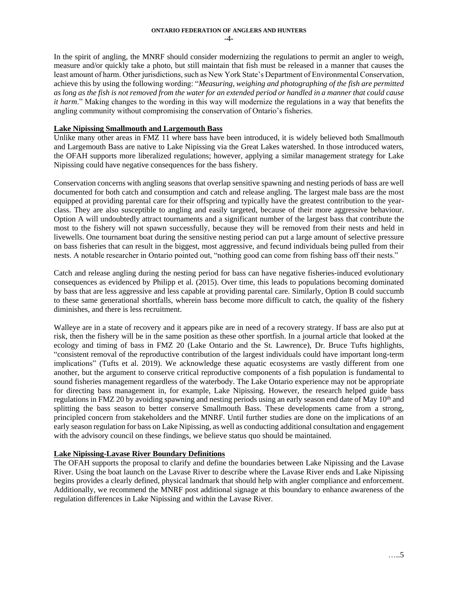In the spirit of angling, the MNRF should consider modernizing the regulations to permit an angler to weigh, measure and/or quickly take a photo, but still maintain that fish must be released in a manner that causes the least amount of harm. Other jurisdictions, such as New York State's Department of Environmental Conservation, achieve this by using the following wording: "*Measuring, weighing and photographing of the fish are permitted as long as the fish is not removed from the water for an extended period or handled in a manner that could cause it harm*." Making changes to the wording in this way will modernize the regulations in a way that benefits the angling community without compromising the conservation of Ontario's fisheries.

## **Lake Nipissing Smallmouth and Largemouth Bass**

Unlike many other areas in FMZ 11 where bass have been introduced, it is widely believed both Smallmouth and Largemouth Bass are native to Lake Nipissing via the Great Lakes watershed. In those introduced waters, the OFAH supports more liberalized regulations; however, applying a similar management strategy for Lake Nipissing could have negative consequences for the bass fishery.

Conservation concerns with angling seasons that overlap sensitive spawning and nesting periods of bass are well documented for both catch and consumption and catch and release angling. The largest male bass are the most equipped at providing parental care for their offspring and typically have the greatest contribution to the yearclass. They are also susceptible to angling and easily targeted, because of their more aggressive behaviour. Option A will undoubtedly attract tournaments and a significant number of the largest bass that contribute the most to the fishery will not spawn successfully, because they will be removed from their nests and held in livewells. One tournament boat during the sensitive nesting period can put a large amount of selective pressure on bass fisheries that can result in the biggest, most aggressive, and fecund individuals being pulled from their nests. A notable researcher in Ontario pointed out, "nothing good can come from fishing bass off their nests."

Catch and release angling during the nesting period for bass can have negative fisheries-induced evolutionary consequences as evidenced by Philipp et al. (2015). Over time, this leads to populations becoming dominated by bass that are less aggressive and less capable at providing parental care. Similarly, Option B could succumb to these same generational shortfalls, wherein bass become more difficult to catch, the quality of the fishery diminishes, and there is less recruitment.

Walleye are in a state of recovery and it appears pike are in need of a recovery strategy. If bass are also put at risk, then the fishery will be in the same position as these other sportfish. In a journal article that looked at the ecology and timing of bass in FMZ 20 (Lake Ontario and the St. Lawrence), Dr. Bruce Tufts highlights, "consistent removal of the reproductive contribution of the largest individuals could have important long-term implications" (Tufts et al. 2019). We acknowledge these aquatic ecosystems are vastly different from one another, but the argument to conserve critical reproductive components of a fish population is fundamental to sound fisheries management regardless of the waterbody. The Lake Ontario experience may not be appropriate for directing bass management in, for example, Lake Nipissing. However, the research helped guide bass regulations in FMZ 20 by avoiding spawning and nesting periods using an early season end date of May 10<sup>th</sup> and splitting the bass season to better conserve Smallmouth Bass. These developments came from a strong, principled concern from stakeholders and the MNRF. Until further studies are done on the implications of an early season regulation for bass on Lake Nipissing, as well as conducting additional consultation and engagement with the advisory council on these findings, we believe status quo should be maintained.

# **Lake Nipissing-Lavase River Boundary Definitions**

The OFAH supports the proposal to clarify and define the boundaries between Lake Nipissing and the Lavase River. Using the boat launch on the Lavase River to describe where the Lavase River ends and Lake Nipissing begins provides a clearly defined, physical landmark that should help with angler compliance and enforcement. Additionally, we recommend the MNRF post additional signage at this boundary to enhance awareness of the regulation differences in Lake Nipissing and within the Lavase River.